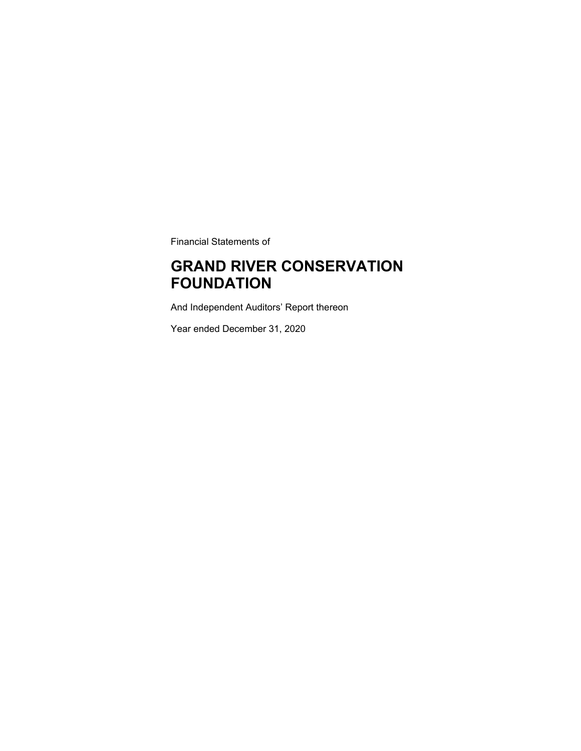Financial Statements of

# **GRAND RIVER CONSERVATION FOUNDATION**

And Independent Auditors' Report thereon

Year ended December 31, 2020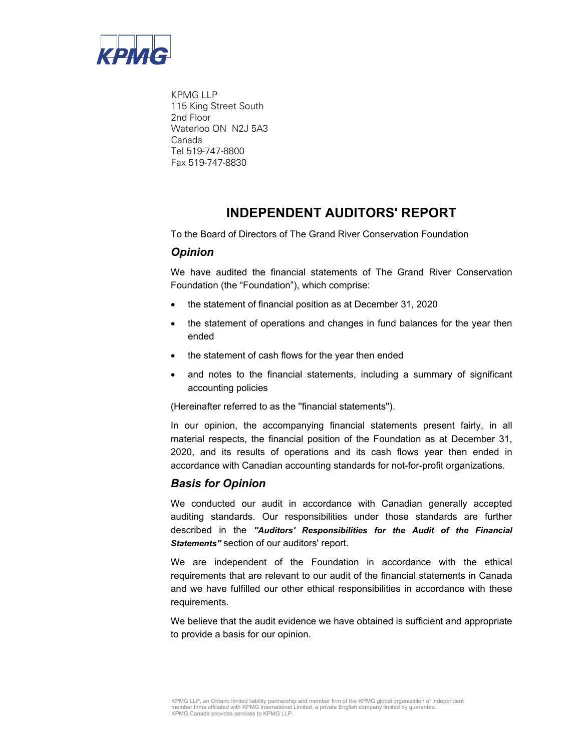

KPMG LLP 115 King Street South 2nd Floor Waterloo ON N2J 5A3 Canada Tel 519-747-8800 Fax 519-747-8830

### **INDEPENDENT AUDITORS' REPORT**

To the Board of Directors of The Grand River Conservation Foundation

### *Opinion*

We have audited the financial statements of The Grand River Conservation Foundation (the "Foundation"), which comprise:

- the statement of financial position as at December 31, 2020
- the statement of operations and changes in fund balances for the year then ended
- the statement of cash flows for the year then ended
- and notes to the financial statements, including a summary of significant accounting policies

(Hereinafter referred to as the ''financial statements'').

In our opinion, the accompanying financial statements present fairly, in all material respects, the financial position of the Foundation as at December 31, 2020, and its results of operations and its cash flows year then ended in accordance with Canadian accounting standards for not-for-profit organizations.

### *Basis for Opinion*

 described in the *''Auditors' Responsibilities for the Audit of the Financial*  We conducted our audit in accordance with Canadian generally accepted auditing standards. Our responsibilities under those standards are further *Statements''* section of our auditors' report.

We are independent of the Foundation in accordance with the ethical requirements that are relevant to our audit of the financial statements in Canada and we have fulfilled our other ethical responsibilities in accordance with these requirements.

We believe that the audit evidence we have obtained is sufficient and appropriate to provide a basis for our opinion.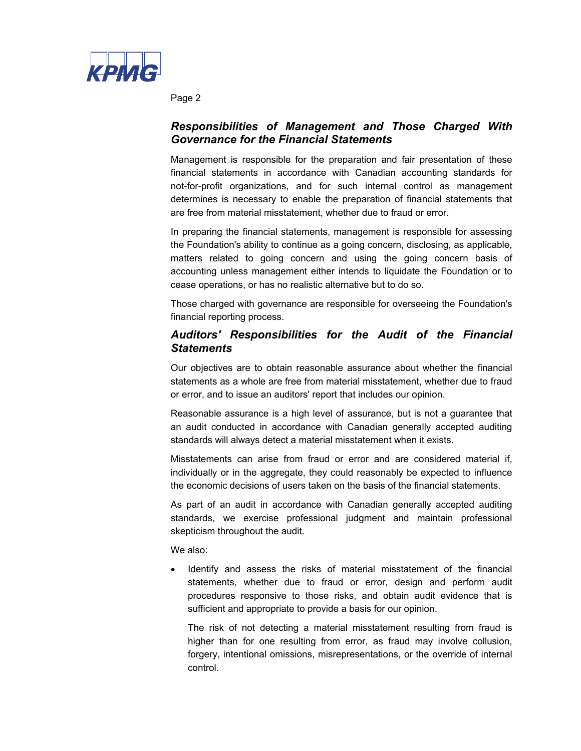

Page 2

### *Responsibilities of Management and Those Charged With Governance for the Financial Statements*

Management is responsible for the preparation and fair presentation of these financial statements in accordance with Canadian accounting standards for not-for-profit organizations, and for such internal control as management determines is necessary to enable the preparation of financial statements that are free from material misstatement, whether due to fraud or error.

In preparing the financial statements, management is responsible for assessing the Foundation's ability to continue as a going concern, disclosing, as applicable, matters related to going concern and using the going concern basis of accounting unless management either intends to liquidate the Foundation or to cease operations, or has no realistic alternative but to do so.

Those charged with governance are responsible for overseeing the Foundation's financial reporting process.

### *Auditors' Responsibilities for the Audit of the Financial Statements*

Our objectives are to obtain reasonable assurance about whether the financial statements as a whole are free from material misstatement, whether due to fraud or error, and to issue an auditors' report that includes our opinion.

Reasonable assurance is a high level of assurance, but is not a guarantee that an audit conducted in accordance with Canadian generally accepted auditing standards will always detect a material misstatement when it exists.

Misstatements can arise from fraud or error and are considered material if, individually or in the aggregate, they could reasonably be expected to influence the economic decisions of users taken on the basis of the financial statements.

As part of an audit in accordance with Canadian generally accepted auditing standards, we exercise professional judgment and maintain professional skepticism throughout the audit.

We also:

 Identify and assess the risks of material misstatement of the financial statements, whether due to fraud or error, design and perform audit procedures responsive to those risks, and obtain audit evidence that is sufficient and appropriate to provide a basis for our opinion.

The risk of not detecting a material misstatement resulting from fraud is higher than for one resulting from error, as fraud may involve collusion, forgery, intentional omissions, misrepresentations, or the override of internal control.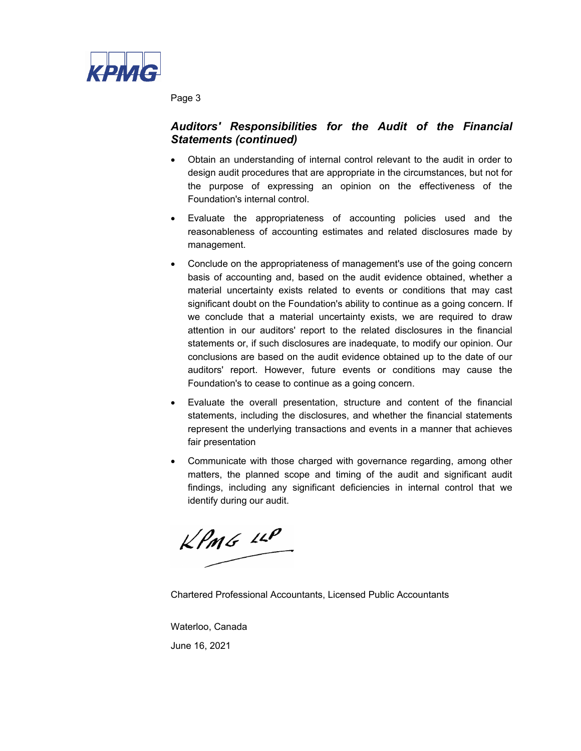

Page 3

### *Auditors' Responsibilities for the Audit of the Financial Statements (continued)*

- Obtain an understanding of internal control relevant to the audit in order to design audit procedures that are appropriate in the circumstances, but not for the purpose of expressing an opinion on the effectiveness of the Foundation's internal control.
- Evaluate the appropriateness of accounting policies used and the reasonableness of accounting estimates and related disclosures made by management.
- Conclude on the appropriateness of management's use of the going concern basis of accounting and, based on the audit evidence obtained, whether a material uncertainty exists related to events or conditions that may cast significant doubt on the Foundation's ability to continue as a going concern. If we conclude that a material uncertainty exists, we are required to draw attention in our auditors' report to the related disclosures in the financial statements or, if such disclosures are inadequate, to modify our opinion. Our conclusions are based on the audit evidence obtained up to the date of our auditors' report. However, future events or conditions may cause the Foundation's to cease to continue as a going concern.
- Evaluate the overall presentation, structure and content of the financial statements, including the disclosures, and whether the financial statements represent the underlying transactions and events in a manner that achieves fair presentation
- Communicate with those charged with governance regarding, among other matters, the planned scope and timing of the audit and significant audit findings, including any significant deficiencies in internal control that we identify during our audit.

 $KPMG$  14P

Chartered Professional Accountants, Licensed Public Accountants

Waterloo, Canada June 16, 2021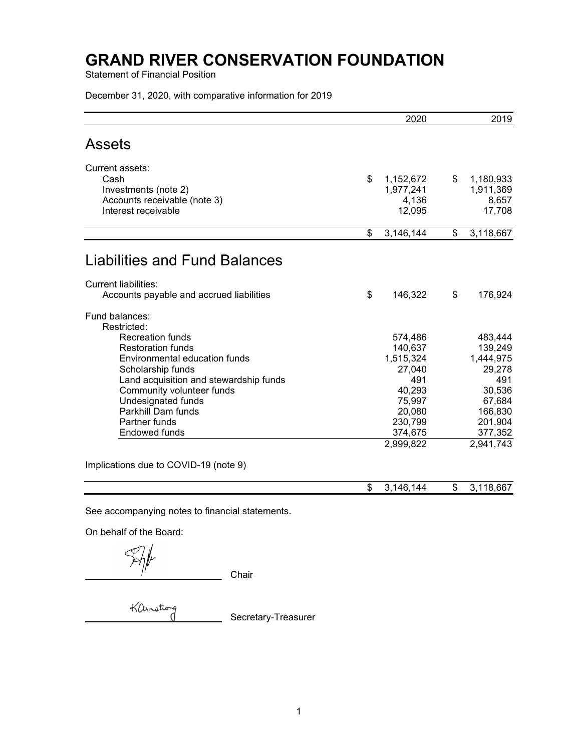Statement of Financial Position

December 31, 2020, with comparative information for 2019

|                                          | 2020               | 2019               |
|------------------------------------------|--------------------|--------------------|
| <b>Assets</b>                            |                    |                    |
| Current assets:<br>Cash                  | \$<br>1,152,672    | \$<br>1,180,933    |
| Investments (note 2)                     | 1,977,241          | 1,911,369          |
| Accounts receivable (note 3)             | 4,136              | 8,657              |
| Interest receivable                      | 12,095             | 17,708             |
|                                          | \$<br>3,146,144    | \$<br>3,118,667    |
| <b>Liabilities and Fund Balances</b>     |                    |                    |
|                                          |                    |                    |
| Current liabilities:                     |                    |                    |
| Accounts payable and accrued liabilities | \$<br>146,322      | \$<br>176,924      |
| Fund balances:<br>Restricted:            |                    |                    |
| <b>Recreation funds</b>                  | 574,486            | 483,444            |
| <b>Restoration funds</b>                 | 140,637            | 139,249            |
| Environmental education funds            | 1,515,324          | 1,444,975          |
| Scholarship funds                        | 27,040             | 29,278             |
| Land acquisition and stewardship funds   | 491                | 491                |
| Community volunteer funds                | 40,293             | 30,536             |
| Undesignated funds                       | 75,997             | 67,684             |
| Parkhill Dam funds<br>Partner funds      | 20,080             | 166,830            |
| <b>Endowed funds</b>                     | 230,799<br>374,675 | 201,904<br>377,352 |
|                                          | 2,999,822          | 2,941,743          |
| Implications due to COVID-19 (note 9)    |                    |                    |
|                                          |                    |                    |
|                                          | \$<br>3,146,144    | \$<br>3,118,667    |

See accompanying notes to financial statements.

On behalf of the Board:

 $\mathbb{Z}/\mathbb{Z}$  $\int$ 

Chair

Karnstrong

Secretary-Treasurer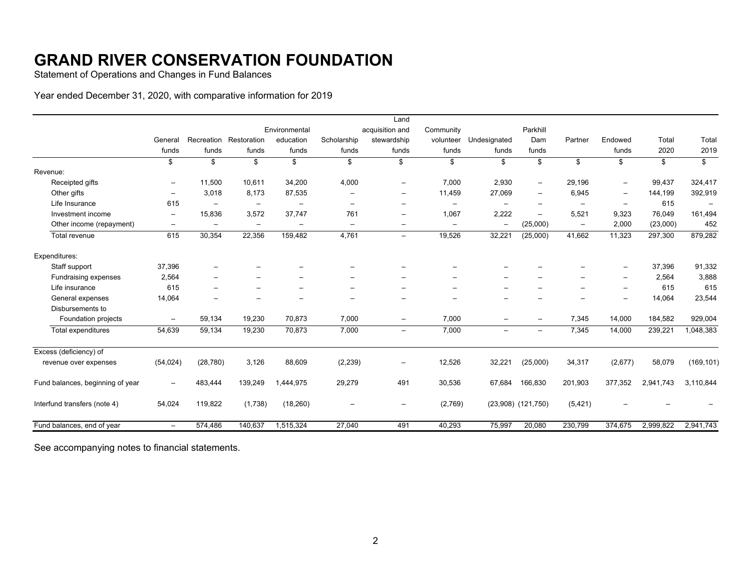Statement of Operations and Changes in Fund Balances

Year ended December 31, 2020, with comparative information for 2019

|                                  |                          |                          |                          |                          |                   | Land                     |                   |                          |                          |                          |                          |           |            |
|----------------------------------|--------------------------|--------------------------|--------------------------|--------------------------|-------------------|--------------------------|-------------------|--------------------------|--------------------------|--------------------------|--------------------------|-----------|------------|
|                                  |                          |                          |                          | Environmental            |                   | acquisition and          | Community         |                          | Parkhill                 |                          |                          |           |            |
|                                  | General                  |                          | Recreation Restoration   | education                | Scholarship       | stewardship              | volunteer         | Undesignated             | Dam                      | Partner                  | Endowed                  | Total     | Total      |
|                                  | funds                    | funds                    | funds                    | funds                    | funds             | funds                    | funds             | funds                    | funds                    |                          | funds                    | 2020      | 2019       |
|                                  | \$                       | \$                       | \$                       | \$                       | \$                | \$                       | \$                | \$                       | \$                       | \$                       | \$                       | \$        | \$         |
| Revenue:                         |                          |                          |                          |                          |                   |                          |                   |                          |                          |                          |                          |           |            |
| Receipted gifts                  | $\overline{\phantom{0}}$ | 11,500                   | 10,611                   | 34,200                   | 4,000             | $\overline{\phantom{0}}$ | 7,000             | 2,930                    | $\overline{\phantom{0}}$ | 29,196                   | $\qquad \qquad -$        | 99,437    | 324,417    |
| Other gifts                      | $\overline{\phantom{0}}$ | 3,018                    | 8,173                    | 87,535                   | -                 | $\overline{\phantom{m}}$ | 11,459            | 27,069                   | $\overline{\phantom{m}}$ | 6,945                    | -                        | 144,199   | 392,919    |
| Life Insurance                   | 615                      | $-$                      | $\overline{\phantom{m}}$ | $\overline{\phantom{a}}$ | $\equiv$          | $\equiv$                 | $\qquad \qquad =$ | $\overline{\phantom{a}}$ | $\overline{\phantom{0}}$ | $\overline{\phantom{m}}$ | $\overline{\phantom{m}}$ | 615       | $\equiv$   |
| Investment income                | -                        | 15,836                   | 3,572                    | 37,747                   | 761               | $\overline{\phantom{0}}$ | 1,067             | 2,222                    | $\overline{\phantom{a}}$ | 5,521                    | 9,323                    | 76,049    | 161,494    |
| Other income (repayment)         | $\overline{\phantom{0}}$ | $\overline{\phantom{0}}$ | $\overline{\phantom{m}}$ | $\qquad \qquad -$        | $\qquad \qquad -$ | $\qquad \qquad -$        | $\qquad \qquad -$ | $\overline{\phantom{m}}$ | (25,000)                 | $\overline{\phantom{0}}$ | 2,000                    | (23,000)  | 452        |
| Total revenue                    | 615                      | 30,354                   | 22,356                   | 159,482                  | 4,761             | $\overline{\phantom{0}}$ | 19,526            | 32,221                   | (25,000)                 | 41,662                   | 11,323                   | 297,300   | 879,282    |
| Expenditures:                    |                          |                          |                          |                          |                   |                          |                   |                          |                          |                          |                          |           |            |
| Staff support                    | 37,396                   |                          |                          |                          |                   |                          |                   |                          |                          |                          | $\overline{\phantom{0}}$ | 37,396    | 91,332     |
| Fundraising expenses             | 2,564                    |                          |                          |                          |                   |                          |                   |                          |                          |                          | $\qquad \qquad -$        | 2,564     | 3,888      |
| Life insurance                   | 615                      |                          |                          |                          |                   |                          |                   |                          |                          |                          | $\qquad \qquad -$        | 615       | 615        |
| General expenses                 | 14,064                   |                          |                          |                          |                   |                          |                   |                          |                          |                          |                          | 14,064    | 23,544     |
| Disbursements to                 |                          |                          |                          |                          |                   |                          |                   |                          |                          |                          |                          |           |            |
| Foundation projects              | $\overline{\phantom{0}}$ | 59,134                   | 19,230                   | 70,873                   | 7,000             | $\qquad \qquad -$        | 7,000             | $\overline{\phantom{m}}$ |                          | 7,345                    | 14,000                   | 184,582   | 929,004    |
| Total expenditures               | 54,639                   | 59,134                   | 19,230                   | 70,873                   | 7,000             | $\overline{\phantom{m}}$ | 7,000             | $\overline{\phantom{a}}$ | $\overline{\phantom{0}}$ | 7,345                    | 14,000                   | 239,221   | 1,048,383  |
| Excess (deficiency) of           |                          |                          |                          |                          |                   |                          |                   |                          |                          |                          |                          |           |            |
| revenue over expenses            | (54, 024)                | (28, 780)                | 3,126                    | 88,609                   | (2, 239)          | $\overline{\phantom{0}}$ | 12,526            | 32,221                   | (25,000)                 | 34,317                   | (2,677)                  | 58,079    | (169, 101) |
| Fund balances, beginning of year | $\overline{\phantom{0}}$ | 483.444                  | 139,249                  | 1,444,975                | 29,279            | 491                      | 30,536            | 67.684                   | 166,830                  | 201,903                  | 377,352                  | 2,941,743 | 3,110,844  |
| Interfund transfers (note 4)     | 54,024                   | 119,822                  | (1,738)                  | (18, 260)                | -                 | $\overline{\phantom{m}}$ | (2,769)           |                          | $(23,908)$ $(121,750)$   | (5,421)                  |                          |           |            |
| Fund balances, end of year       | $\overline{\phantom{0}}$ | 574,486                  | 140,637                  | 1,515,324                | 27,040            | 491                      | 40,293            | 75,997                   | 20,080                   | 230,799                  | 374,675                  | 2,999,822 | 2,941,743  |

See accompanying notes to financial statements.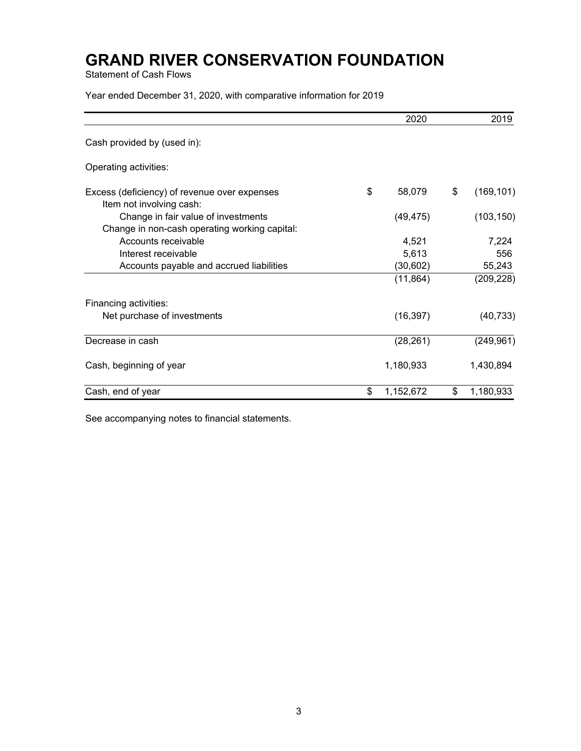Statement of Cash Flows

Year ended December 31, 2020, with comparative information for 2019

|                                                                                      | 2020            | 2019             |
|--------------------------------------------------------------------------------------|-----------------|------------------|
| Cash provided by (used in):                                                          |                 |                  |
| Operating activities:                                                                |                 |                  |
| Excess (deficiency) of revenue over expenses<br>Item not involving cash:             | \$<br>58,079    | \$<br>(169, 101) |
| Change in fair value of investments<br>Change in non-cash operating working capital: | (49, 475)       | (103, 150)       |
| Accounts receivable                                                                  | 4,521           | 7,224            |
| Interest receivable                                                                  | 5,613           | 556              |
| Accounts payable and accrued liabilities                                             | (30, 602)       | 55,243           |
|                                                                                      | (11, 864)       | (209, 228)       |
| Financing activities:                                                                |                 |                  |
| Net purchase of investments                                                          | (16, 397)       | (40, 733)        |
| Decrease in cash                                                                     | (28, 261)       | (249, 961)       |
| Cash, beginning of year                                                              | 1,180,933       | 1,430,894        |
| Cash, end of year                                                                    | \$<br>1,152,672 | \$<br>1,180,933  |

See accompanying notes to financial statements.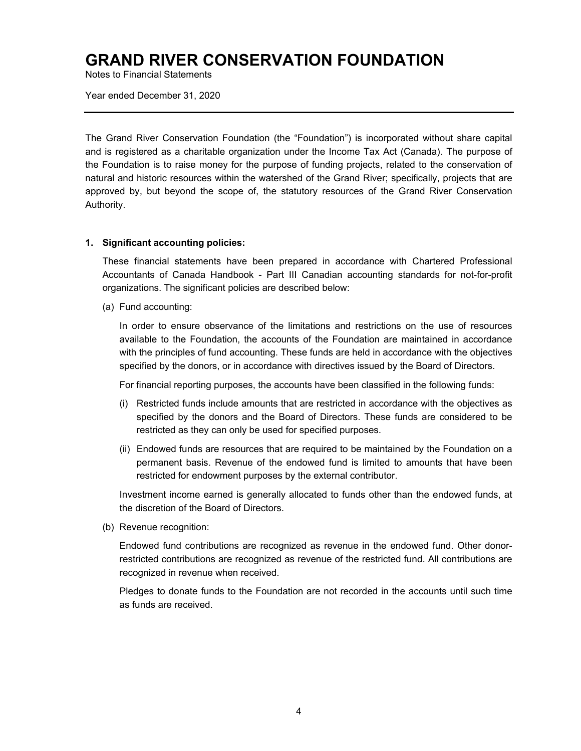Notes to Financial Statements

Year ended December 31, 2020

The Grand River Conservation Foundation (the "Foundation") is incorporated without share capital and is registered as a charitable organization under the Income Tax Act (Canada). The purpose of the Foundation is to raise money for the purpose of funding projects, related to the conservation of natural and historic resources within the watershed of the Grand River; specifically, projects that are approved by, but beyond the scope of, the statutory resources of the Grand River Conservation Authority.

### **1. Significant accounting policies:**

These financial statements have been prepared in accordance with Chartered Professional Accountants of Canada Handbook - Part III Canadian accounting standards for not-for-profit organizations. The significant policies are described below:

(a) Fund accounting:

In order to ensure observance of the limitations and restrictions on the use of resources available to the Foundation, the accounts of the Foundation are maintained in accordance with the principles of fund accounting. These funds are held in accordance with the objectives specified by the donors, or in accordance with directives issued by the Board of Directors.

For financial reporting purposes, the accounts have been classified in the following funds:

- (i) Restricted funds include amounts that are restricted in accordance with the objectives as specified by the donors and the Board of Directors. These funds are considered to be restricted as they can only be used for specified purposes.
- (ii) Endowed funds are resources that are required to be maintained by the Foundation on a permanent basis. Revenue of the endowed fund is limited to amounts that have been restricted for endowment purposes by the external contributor.

Investment income earned is generally allocated to funds other than the endowed funds, at the discretion of the Board of Directors.

(b) Revenue recognition:

Endowed fund contributions are recognized as revenue in the endowed fund. Other donorrestricted contributions are recognized as revenue of the restricted fund. All contributions are recognized in revenue when received.

Pledges to donate funds to the Foundation are not recorded in the accounts until such time as funds are received.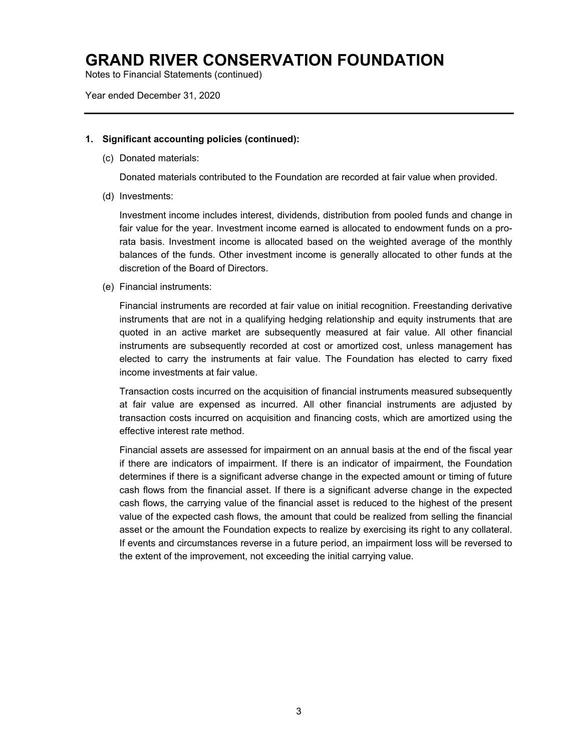Notes to Financial Statements (continued)

Year ended December 31, 2020

#### **1. Significant accounting policies (continued):**

(c) Donated materials:

Donated materials contributed to the Foundation are recorded at fair value when provided.

(d) Investments:

Investment income includes interest, dividends, distribution from pooled funds and change in fair value for the year. Investment income earned is allocated to endowment funds on a prorata basis. Investment income is allocated based on the weighted average of the monthly balances of the funds. Other investment income is generally allocated to other funds at the discretion of the Board of Directors.

(e) Financial instruments:

Financial instruments are recorded at fair value on initial recognition. Freestanding derivative instruments that are not in a qualifying hedging relationship and equity instruments that are quoted in an active market are subsequently measured at fair value. All other financial instruments are subsequently recorded at cost or amortized cost, unless management has elected to carry the instruments at fair value. The Foundation has elected to carry fixed income investments at fair value.

Transaction costs incurred on the acquisition of financial instruments measured subsequently at fair value are expensed as incurred. All other financial instruments are adjusted by transaction costs incurred on acquisition and financing costs, which are amortized using the effective interest rate method.

Financial assets are assessed for impairment on an annual basis at the end of the fiscal year if there are indicators of impairment. If there is an indicator of impairment, the Foundation determines if there is a significant adverse change in the expected amount or timing of future cash flows from the financial asset. If there is a significant adverse change in the expected cash flows, the carrying value of the financial asset is reduced to the highest of the present value of the expected cash flows, the amount that could be realized from selling the financial asset or the amount the Foundation expects to realize by exercising its right to any collateral. If events and circumstances reverse in a future period, an impairment loss will be reversed to the extent of the improvement, not exceeding the initial carrying value.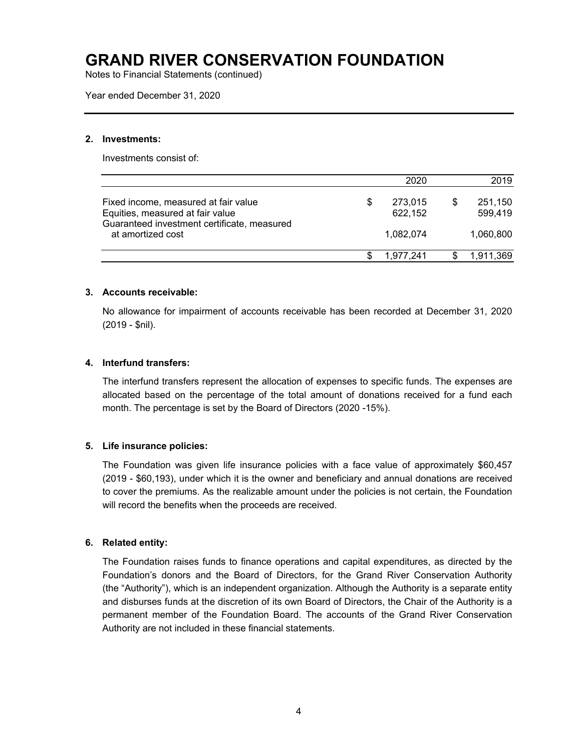Notes to Financial Statements (continued)

Year ended December 31, 2020

#### **2. Investments:**

Investments consist of:

|                                                                                                                         | 2020                     |   | 2019               |
|-------------------------------------------------------------------------------------------------------------------------|--------------------------|---|--------------------|
| Fixed income, measured at fair value<br>Equities, measured at fair value<br>Guaranteed investment certificate, measured | \$<br>273,015<br>622,152 | S | 251,150<br>599,419 |
| at amortized cost                                                                                                       | 1.082.074                |   | 1.060.800          |
|                                                                                                                         | 1.977.241                |   | 1,911,369          |

#### **3. Accounts receivable:**

No allowance for impairment of accounts receivable has been recorded at December 31, 2020 (2019 - \$nil).

### **4. Interfund transfers:**

The interfund transfers represent the allocation of expenses to specific funds. The expenses are allocated based on the percentage of the total amount of donations received for a fund each month. The percentage is set by the Board of Directors (2020 -15%).

### **5. Life insurance policies:**

The Foundation was given life insurance policies with a face value of approximately \$60,457 (2019 - \$60,193), under which it is the owner and beneficiary and annual donations are received to cover the premiums. As the realizable amount under the policies is not certain, the Foundation will record the benefits when the proceeds are received.

#### **6. Related entity:**

The Foundation raises funds to finance operations and capital expenditures, as directed by the Foundation's donors and the Board of Directors, for the Grand River Conservation Authority (the "Authority"), which is an independent organization. Although the Authority is a separate entity and disburses funds at the discretion of its own Board of Directors, the Chair of the Authority is a permanent member of the Foundation Board. The accounts of the Grand River Conservation Authority are not included in these financial statements.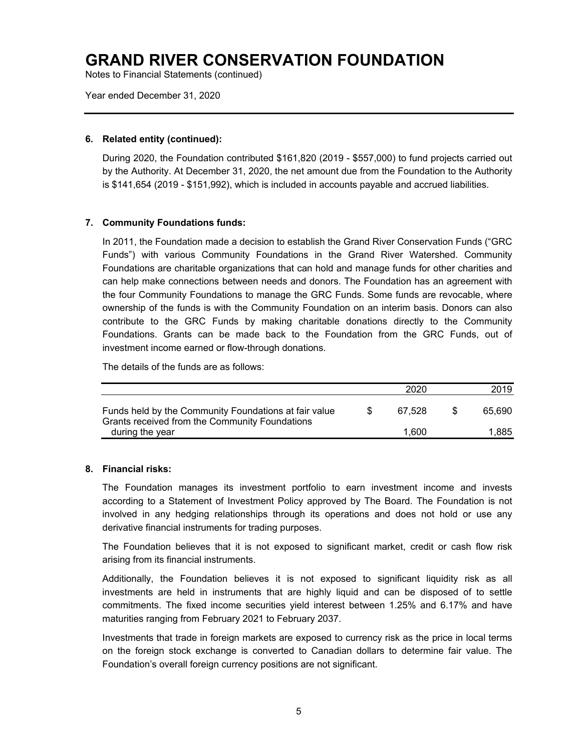Notes to Financial Statements (continued)

Year ended December 31, 2020

### **6. Related entity (continued):**

During 2020, the Foundation contributed \$161,820 (2019 - \$557,000) to fund projects carried out by the Authority. At December 31, 2020, the net amount due from the Foundation to the Authority is \$141,654 (2019 - \$151,992), which is included in accounts payable and accrued liabilities.

### **7. Community Foundations funds:**

In 2011, the Foundation made a decision to establish the Grand River Conservation Funds ("GRC Funds") with various Community Foundations in the Grand River Watershed. Community Foundations are charitable organizations that can hold and manage funds for other charities and can help make connections between needs and donors. The Foundation has an agreement with the four Community Foundations to manage the GRC Funds. Some funds are revocable, where ownership of the funds is with the Community Foundation on an interim basis. Donors can also contribute to the GRC Funds by making charitable donations directly to the Community Foundations. Grants can be made back to the Foundation from the GRC Funds, out of investment income earned or flow-through donations.

The details of the funds are as follows:

|                                                                   |    | 2020   |   | 2019   |
|-------------------------------------------------------------------|----|--------|---|--------|
| Funds held by the Community Foundations at fair value             | £. | 67.528 | S | 65.690 |
| Grants received from the Community Foundations<br>during the year |    | 1.600  |   | 1,885  |

#### **8. Financial risks:**

The Foundation manages its investment portfolio to earn investment income and invests according to a Statement of Investment Policy approved by The Board. The Foundation is not involved in any hedging relationships through its operations and does not hold or use any derivative financial instruments for trading purposes.

The Foundation believes that it is not exposed to significant market, credit or cash flow risk arising from its financial instruments.

Additionally, the Foundation believes it is not exposed to significant liquidity risk as all investments are held in instruments that are highly liquid and can be disposed of to settle commitments. The fixed income securities yield interest between 1.25% and 6.17% and have maturities ranging from February 2021 to February 2037.

Investments that trade in foreign markets are exposed to currency risk as the price in local terms on the foreign stock exchange is converted to Canadian dollars to determine fair value. The Foundation's overall foreign currency positions are not significant.